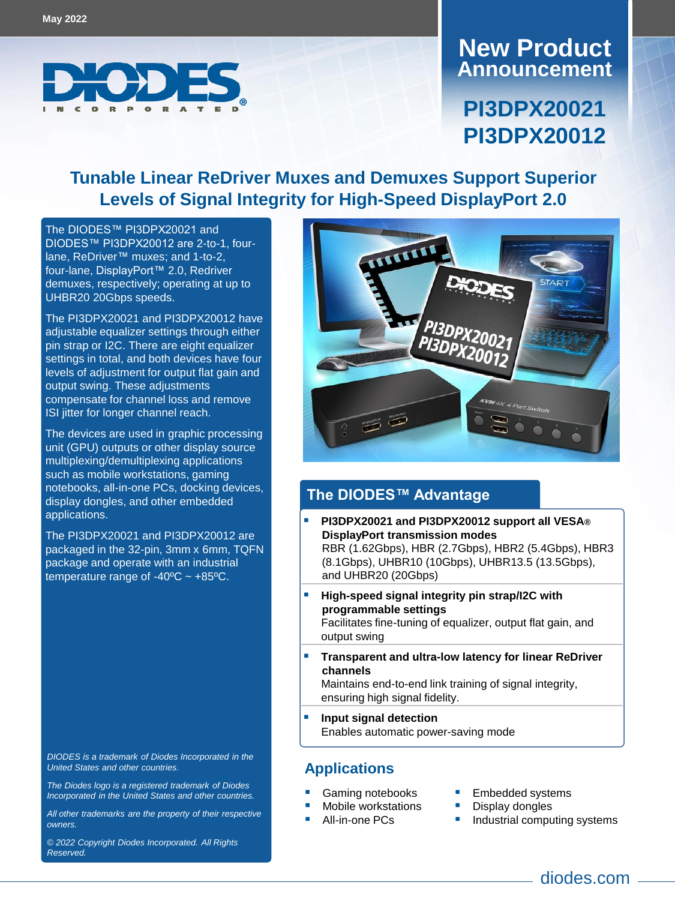

### **Announcement New Product**

# **PI3DPX20021 PI3DPX20012**

### **Tunable Linear ReDriver Muxes and Demuxes Support Superior Levels of Signal Integrity for High-Speed DisplayPort 2.0**

The DIODES™ [PI3DPX20021](https://www.diodes.com/part/PI3DPX20021) and DIODES™ [PI3DPX20012](https://www.diodes.com/part/PI3DPX20012) are 2-to-1, fourlane, ReDriver™ muxes; and 1-to-2, four-lane, DisplayPort™ 2.0, Redriver demuxes, respectively; operating at up to UHBR20 20Gbps speeds.

The PI3DPX20021 and PI3DPX20012 have adjustable equalizer settings through either pin strap or I2C. There are eight equalizer settings in total, and both devices have four levels of adjustment for output flat gain and output swing. These adjustments compensate for channel loss and remove ISI jitter for longer channel reach.

The devices are used in graphic processing unit (GPU) outputs or other display source multiplexing/demultiplexing applications such as mobile workstations, gaming notebooks, all-in-one PCs, docking devices, display dongles, and other embedded applications.

The PI3DPX20021 and PI3DPX20012 are packaged in the 32-pin, 3mm x 6mm, TQFN package and operate with an industrial temperature range of  $-40^{\circ}$ C  $\sim +85^{\circ}$ C.

*DIODES is a trademark of Diodes Incorporated in the United States and other countries.*

*The Diodes logo is a registered trademark of Diodes Incorporated in the United States and other countries.* 

*All other trademarks are the property of their respective owners.*

*© 2022 Copyright Diodes Incorporated. All Rights Reserved.*



### **The DIODES™ Advantage**

- **PI3DPX20021 and PI3DPX20012 support all VESA® DisplayPort transmission modes** RBR (1.62Gbps), HBR (2.7Gbps), HBR2 (5.4Gbps), HBR3 (8.1Gbps), UHBR10 (10Gbps), UHBR13.5 (13.5Gbps), and UHBR20 (20Gbps)
- **High-speed signal integrity pin strap/I2C with programmable settings**

Facilitates fine-tuning of equalizer, output flat gain, and output swing

 **Transparent and ultra-low latency for linear ReDriver channels**

Maintains end-to-end link training of signal integrity, ensuring high signal fidelity.

 **Input signal detection**  Enables automatic power-saving mode

### **Applications**

- Gaming notebooks
	- Mobile workstations
- All-in-one PCs
- Embedded systems
- Display dongles
- Industrial computing systems